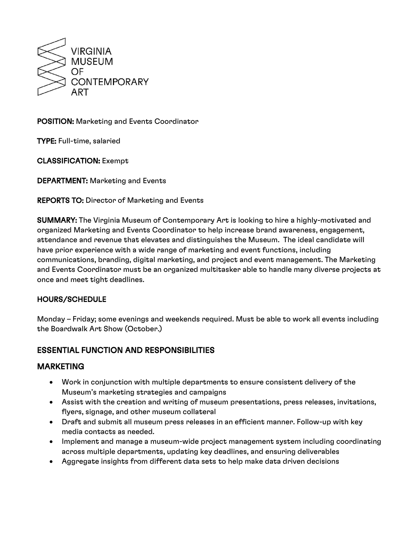

POSITION: Marketing and Events Coordinator

TYPE: Full-time, salaried

CLASSIFICATION: Exempt

DEPARTMENT: Marketing and Events

**REPORTS TO: Director of Marketing and Events** 

SUMMARY: The Virginia Museum of Contemporary Art is looking to hire a highly-motivated and organized Marketing and Events Coordinator to help increase brand awareness, engagement, attendance and revenue that elevates and distinguishes the Museum. The ideal candidate will have prior experience with a wide range of marketing and event functions, including communications, branding, digital marketing, and project and event management. The Marketing and Events Coordinator must be an organized multitasker able to handle many diverse projects at once and meet tight deadlines.

#### HOURS/SCHEDULE

Monday – Friday; some evenings and weekends required. Must be able to work all events including the Boardwalk Art Show (October.)

# ESSENTIAL FUNCTION AND RESPONSIBILITIES

### MARKETING

- Work in conjunction with multiple departments to ensure consistent delivery of the Museum's marketing strategies and campaigns
- Assist with the creation and writing of museum presentations, press releases, invitations, flyers, signage, and other museum collateral
- Draft and submit all museum press releases in an efficient manner. Follow-up with key media contacts as needed.
- Implement and manage a museum-wide project management system including coordinating across multiple departments, updating key deadlines, and ensuring deliverables
- Aggregate insights from different data sets to help make data driven decisions